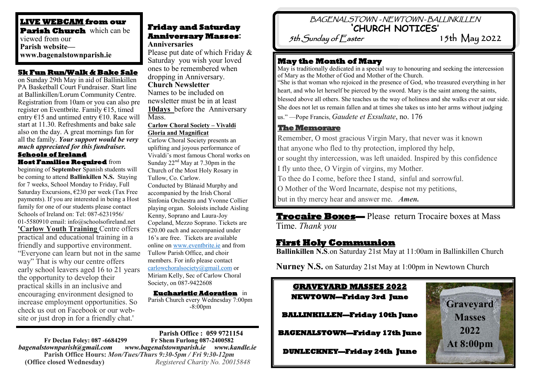# **LIVE WEBCAM from our Parish Church** which can be viewed from our **Parish website—**

#### **5k Fun Run/Walk & Bake Sale**

on Sunday 29th May in aid of Ballinkillen PA Basketball Court Fundraiser. Start line at Ballinkillen/Lorum Community Centre. Registration from 10am or you can also pre register on Eventbrite. Family €15, timed entry  $\epsilon$ 15 and untimed entry  $\epsilon$ 10. Race will start at 11.30. Refreshments and bake sale also on the day. A great mornings fun for all the family. *Your support would be very much appreciated for this fundraiser.*

#### **Schools of Ireland Host Families Required** from

beginning of **September** Spanish students will be coming to attend **Ballinkillen N.S.** Staying for 7 weeks, School Monday to Friday, Full Saturday Excursions, €230 per week (Tax Free payments). If you are interested in being a Host family for one of our students please contact Schools of Ireland on: Tel: 087-6231956/ 01-5580910 email: info@schoolsofireland.net **'Carlow Youth Training** Centre offers practical and educational training in a friendly and supportive environment. "Everyone can learn but not in the same way" That is why our centre offers early school leavers aged 16 to 21 years the opportunity to develop their practical skills in an inclusive and encouraging environment designed to increase employment opportunities. So check us out on Facebook or our website or just drop in for a friendly chat.' .

# **Friday and Saturday Anniversary Masses:**

**Anniversaries** Please put date of which Friday & Saturday you wish your loved ones to be remembered when dropping in Anniversary. **Church Newsletter**  Names to be included on newsletter must be in at least **10days** before the Anniversary Mass. **www.bagenalstownparish.ie** Please put date of which Friday  $\alpha$ 

#### **Carlow Choral Society – Vivaldi Gloria and Magnificat**

Carlow Choral Society presents an uplifting and joyous performance of Vivaldi's most famous Choral works on Sunday  $22<sup>nd</sup>$  May at 7.30pm in the Church of the Most Holy Rosary in Tullow, Co. Carlow. Conducted by Blánaid Murphy and accompanied by the Irish Choral Sinfonia Orchestra and Yvonne Collier playing organ. Soloists include Aisling Kenny, Soprano and Laura-Joy Copeland, Mezzo Soprano. Tickets are  $€20.00$  each and accompanied under 16's are free. Tickets are available online on [www.eventbrite.ie](http://www.eventbrite.ie/) and from Tullow Parish Office, and choir members. For info please contact [carlowchoralsociety@gmail.com](mailto:carlowchoralsociety@gmail.com) or Miriam Kelly, Sec of Carlow Choral Society, on 087-9422608

#### **Eucharistic Adoration** in

Parish Church every Wednesday 7:00pm -8:00pm

**Parish Office : 059 9721154 Fr Declan Foley: 087 -6684299** *bagenalstownparish@gmail.com www.bagenalstownparish.ie www.kandle.ie* **Parish Office Hours:** *Mon/Tues/Thurs 9:30-5pm / Fri 9:30-12pm* **(Office closed Wednesday)** *Registered Charity No. 20015848*

# BAGENALSTOWN - NEWTOWN - BALLINKILLEN **'CHURCH NOTICES'**

5th  $S$ unday of  $E$ aster

May is traditionally dedicated in a special way to honouring and seeking the intercession of Mary as the Mother of God and Mother of the Church. "She is that woman who rejoiced in the presence of God, who treasured everything in her heart, and who let herself be pierced by the sword. Mary is the saint among the saints, blessed above all others. She teaches us the way of holiness and she walks ever at our side. She does not let us remain fallen and at times she takes us into her arms without judging us." —Pope Francis, *Gaudete et Exsultate*, no. 176

#### **The Memorare**

Remember, O most gracious Virgin Mary, that never was it known that anyone who fled to thy protection, implored thy help, or sought thy intercession, was left unaided. Inspired by this confidence I fly unto thee, O Virgin of virgins, my Mother. To thee do I come, before thee I stand, sinful and sorrowful. O Mother of the Word Incarnate, despise not my petitions, but in thy mercy hear and answer me. *Amen.* 

**Trocaire Boxes—** Please return Trocaire boxes at Mass Time. *Thank you*

# **First Holy Communion**

**Ballinkillen N.S**.on Saturday 21st May at 11:00am in Ballinkillen Church

**Nurney N.S.** on Saturday 21st May at 1:00pm in Newtown Church

# **GRAVEYARD MASSES 2022 NEWTOWN—Friday 3rd June**

**BALLINKILLEN—Friday 10th June** 

**BAGENALSTOWN—Friday 17th June** 

**DUNLECKNEY—Friday 24th June**